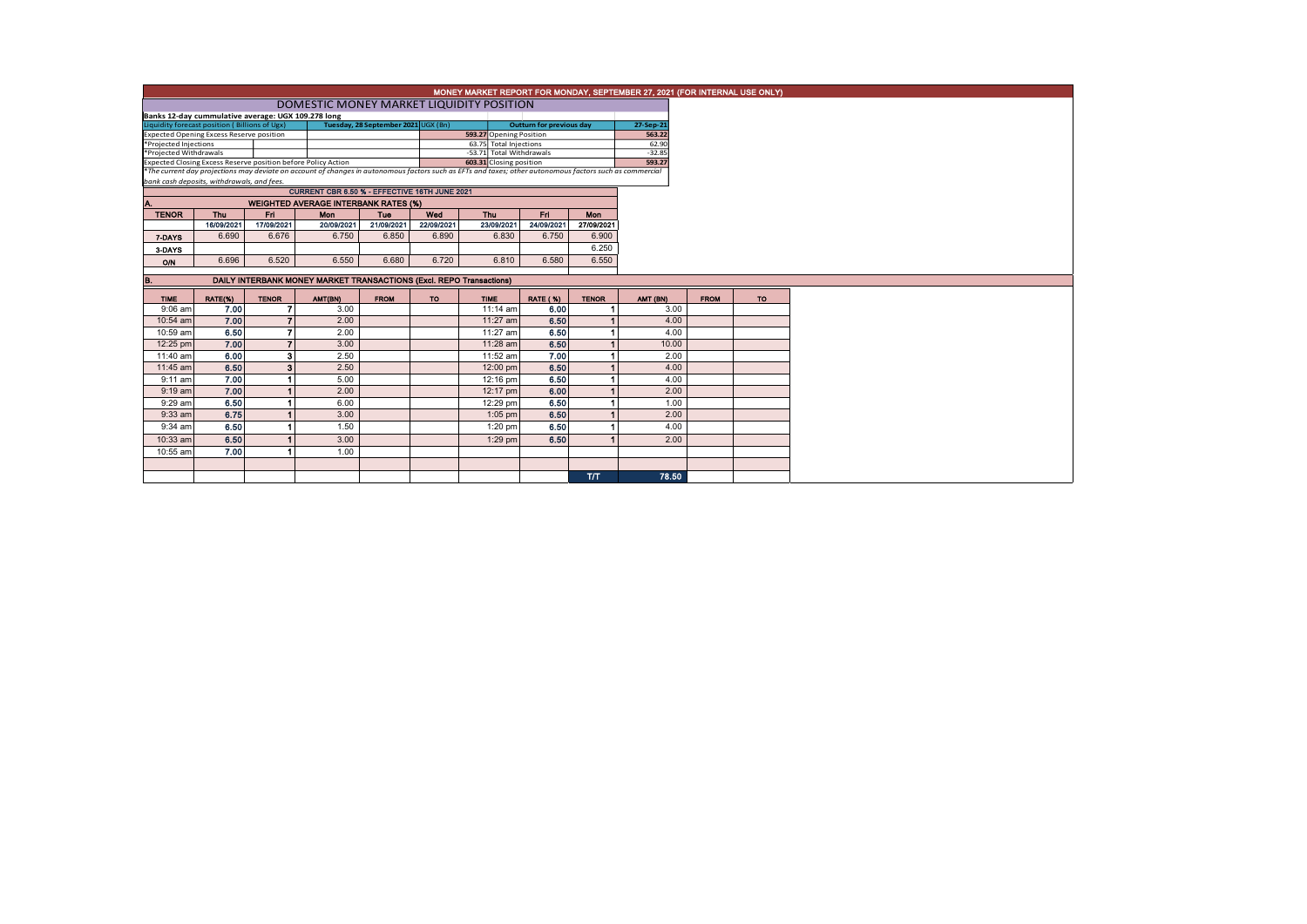| MONEY MARKET REPORT FOR MONDAY, SEPTEMBER 27, 2021 (FOR INTERNAL USE ONLY)                                                                                                                                                                           |            |              |                                                                            |             |            |                          |                                 |              |                    |             |     |  |
|------------------------------------------------------------------------------------------------------------------------------------------------------------------------------------------------------------------------------------------------------|------------|--------------|----------------------------------------------------------------------------|-------------|------------|--------------------------|---------------------------------|--------------|--------------------|-------------|-----|--|
|                                                                                                                                                                                                                                                      |            |              |                                                                            |             |            |                          |                                 |              |                    |             |     |  |
| DOMESTIC MONEY MARKET LIQUIDITY POSITION<br>Banks 12-day cummulative average: UGX 109.278 long                                                                                                                                                       |            |              |                                                                            |             |            |                          |                                 |              |                    |             |     |  |
| Liquidity forecast position (Billions of Ugx)<br>Tuesday, 28 September 2021 UGX (Bn)                                                                                                                                                                 |            |              |                                                                            |             |            |                          | <b>Outturn for previous day</b> |              | 27-Sep-21          |             |     |  |
| Expected Opening Excess Reserve position                                                                                                                                                                                                             |            |              |                                                                            |             |            | 593.27 Opening Position  |                                 |              | 563.22             |             |     |  |
| *Projected Injections<br>*Projected Withdrawals                                                                                                                                                                                                      |            |              |                                                                            |             |            | 63.75 Total Injections   |                                 |              | 62.90              |             |     |  |
|                                                                                                                                                                                                                                                      |            |              |                                                                            |             |            | -53.71 Total Withdrawals |                                 |              | $-32.85$<br>593.27 |             |     |  |
| 603.31 Closing position<br>Expected Closing Excess Reserve position before Policy Action<br>*The current day projections may deviate on account of changes in autonomous factors such as EFTs and taxes; other autonomous factors such as commercial |            |              |                                                                            |             |            |                          |                                 |              |                    |             |     |  |
| bank cash deposits, withdrawals, and fees.                                                                                                                                                                                                           |            |              |                                                                            |             |            |                          |                                 |              |                    |             |     |  |
|                                                                                                                                                                                                                                                      |            |              | CURRENT CBR 6.50 % - EFFECTIVE 16TH JUNE 2021                              |             |            |                          |                                 |              |                    |             |     |  |
| <b>WEIGHTED AVERAGE INTERBANK RATES (%)</b>                                                                                                                                                                                                          |            |              |                                                                            |             |            |                          |                                 |              |                    |             |     |  |
| <b>TENOR</b>                                                                                                                                                                                                                                         | Thu        | Fri          | Mon                                                                        | Tue         | Wed        | Thu                      | Fri.                            | <b>Mon</b>   |                    |             |     |  |
|                                                                                                                                                                                                                                                      | 16/09/2021 | 17/09/2021   | 20/09/2021                                                                 | 21/09/2021  | 22/09/2021 | 23/09/2021               | 24/09/2021                      | 27/09/2021   |                    |             |     |  |
| 7-DAYS                                                                                                                                                                                                                                               | 6.690      | 6,676        | 6.750                                                                      | 6.850       | 6.890      | 6.830                    | 6.750                           | 6.900        |                    |             |     |  |
| 3 DAYS                                                                                                                                                                                                                                               |            |              |                                                                            |             |            |                          |                                 | 6.250        |                    |             |     |  |
| ON                                                                                                                                                                                                                                                   | 6.696      | 6.520        | 6.550                                                                      | 6.680       | 6.720      | 6.810                    | 6.580                           | 6.550        |                    |             |     |  |
|                                                                                                                                                                                                                                                      |            |              |                                                                            |             |            |                          |                                 |              |                    |             |     |  |
| B.                                                                                                                                                                                                                                                   |            |              | <b>DAILY INTERBANK MONEY MARKET TRANSACTIONS (Excl. REPO Transactions)</b> |             |            |                          |                                 |              |                    |             |     |  |
| <b>TIME</b>                                                                                                                                                                                                                                          | RATE(%)    | <b>TENOR</b> | AMT(BN)                                                                    | <b>FROM</b> | <b>TO</b>  | <b>TIME</b>              | <b>RATE (%)</b>                 | <b>TENOR</b> | AMT (BN)           | <b>FROM</b> | TO. |  |
| $9:06$ am                                                                                                                                                                                                                                            | 7.00       |              | 3.00                                                                       |             |            | 11:14 am                 | 6.00                            |              | 3.00               |             |     |  |
| 10:54 am                                                                                                                                                                                                                                             | 7.00       |              | 2.00                                                                       |             |            | 11:27 am                 | 6.50                            |              | 4.00               |             |     |  |
| 10:59 am                                                                                                                                                                                                                                             | 6.50       |              | 2.00                                                                       |             |            | 11:27 am                 | 6.50                            |              | 4.00               |             |     |  |
| 12:25 pm                                                                                                                                                                                                                                             | 7.00       |              | 3.00                                                                       |             |            | 11:28 am                 | 6.50                            |              | 10.00              |             |     |  |
| 11:40 am                                                                                                                                                                                                                                             | 6.00       | э            | 2.50                                                                       |             |            | 11:52 am                 | 7.00                            |              | 2.00               |             |     |  |
| 11:45 am                                                                                                                                                                                                                                             | 6.50       |              | 2.50                                                                       |             |            | 12:00 pm                 | 6.50                            |              | 4.00               |             |     |  |
| $9:11$ am                                                                                                                                                                                                                                            | 7.00       |              | 5.00                                                                       |             |            | 12:16 pm                 | 6.50                            |              | 4.00               |             |     |  |
| $9:19$ am                                                                                                                                                                                                                                            | 7.00       |              | 2.00                                                                       |             |            | 12:17 pm                 | 6.00                            |              | 2.00               |             |     |  |
| $9:29$ am                                                                                                                                                                                                                                            | 6.50       |              | 6.00                                                                       |             |            | 12:29 pm                 | 6.50                            |              | 1.00               |             |     |  |
| $9:33$ am                                                                                                                                                                                                                                            | 6.75       |              | 3.00                                                                       |             |            | $1:05$ pm                | 6.50                            |              | 2.00               |             |     |  |
| $9:34$ am                                                                                                                                                                                                                                            | 6.50       |              | 1.50                                                                       |             |            | 1:20 pm                  | 6.50                            |              | 4.00               |             |     |  |
| 10:33 am                                                                                                                                                                                                                                             | 6.50       |              | 3.00                                                                       |             |            | 1:29 pm                  | 6.50                            |              | 2.00               |             |     |  |
| 10:55 am                                                                                                                                                                                                                                             | 7.00       |              | 1.00                                                                       |             |            |                          |                                 |              |                    |             |     |  |
|                                                                                                                                                                                                                                                      |            |              |                                                                            |             |            |                          |                                 |              |                    |             |     |  |
|                                                                                                                                                                                                                                                      |            |              |                                                                            |             |            |                          |                                 | T/T          | 78.50              |             |     |  |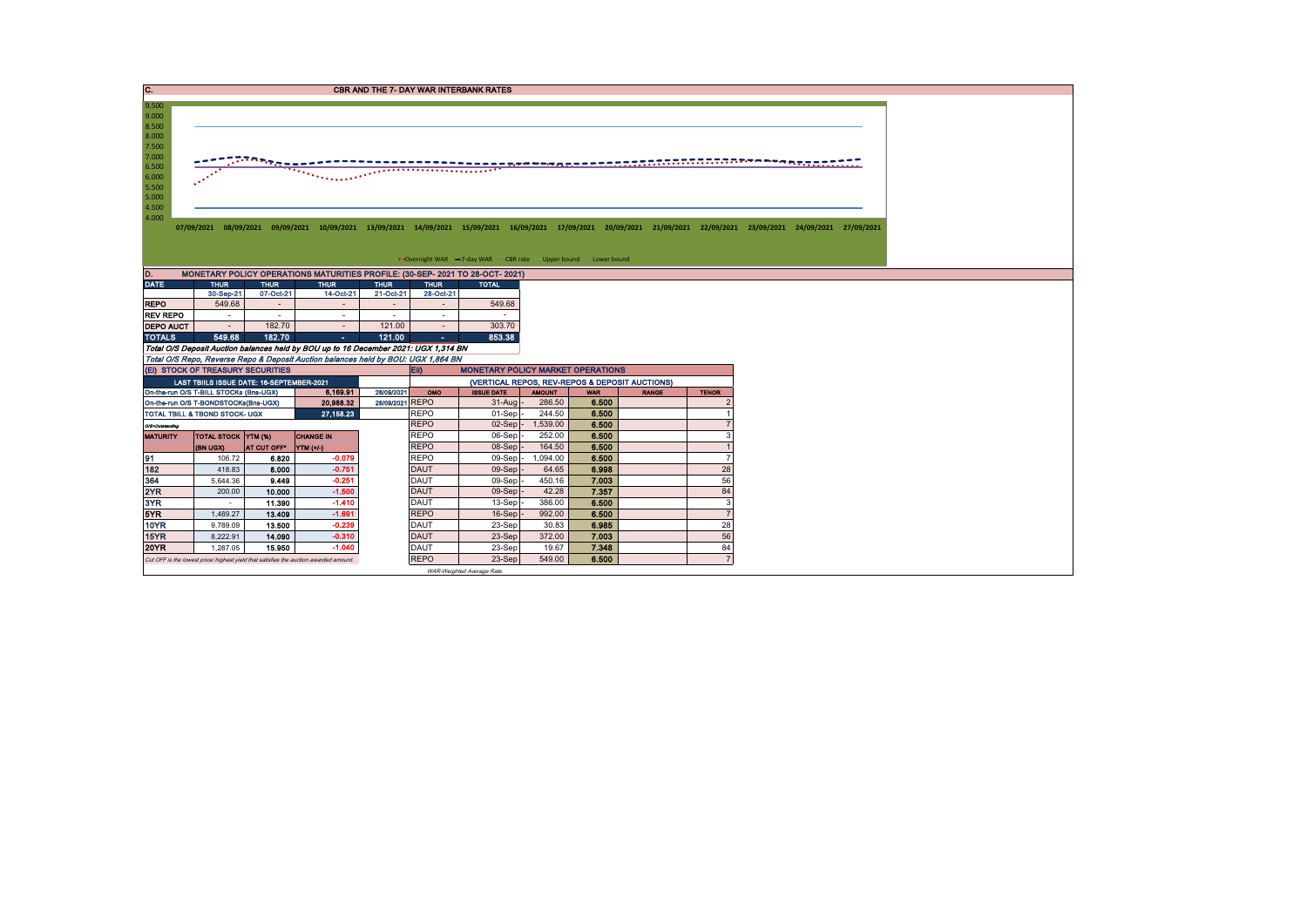| C.                                                                                                       |                                           |             |                                                                                       |                 |             | <b>CBR AND THE 7- DAY WAR INTERBANK RATES</b>                   |               |            |                                                |                |                                                                                                                                                                                 |
|----------------------------------------------------------------------------------------------------------|-------------------------------------------|-------------|---------------------------------------------------------------------------------------|-----------------|-------------|-----------------------------------------------------------------|---------------|------------|------------------------------------------------|----------------|---------------------------------------------------------------------------------------------------------------------------------------------------------------------------------|
| 9.500<br>9.000<br>8.500<br>8.000<br>7.500<br>7.000<br>6.500<br>6.000<br>5.500<br>5.000<br>4.500<br>4.000 |                                           | $-22222$    |                                                                                       |                 |             | • Overnight WAR -7-day WAR - CBR rate -Upper bound -Lower bound |               |            |                                                |                | 07/09/2021 08/09/2021 09/09/2021 10/09/2021 13/09/2021 14/09/2021 15/09/2021 16/09/2021 17/09/2021 20/09/2021 21/09/2021 22/09/2021 23/09/2021 23/09/2021 24/09/2021 24/09/2021 |
| D.                                                                                                       |                                           |             | MONETARY POLICY OPERATIONS MATURITIES PROFILE: (30-SEP- 2021 TO 28-OCT- 2021)         |                 |             |                                                                 |               |            |                                                |                |                                                                                                                                                                                 |
| <b>DATE</b>                                                                                              | <b>THUR</b>                               | <b>THUR</b> | <b>THUR</b>                                                                           | <b>THUR</b>     | <b>THUR</b> | <b>TOTAL</b>                                                    |               |            |                                                |                |                                                                                                                                                                                 |
|                                                                                                          | 30-Sep-21                                 | 07-Oct-21   | 14-Oct-21                                                                             | 21-Oct-21       | 28-Oct-21   |                                                                 |               |            |                                                |                |                                                                                                                                                                                 |
| <b>REPO</b>                                                                                              | 549.68                                    | $\sim$      | $\sim$                                                                                | $\sim$          | $\sim$      | 549.68                                                          |               |            |                                                |                |                                                                                                                                                                                 |
| <b>REV REPO</b>                                                                                          | $\sim$                                    | $\sim$      | $\sim$                                                                                | $\sim$          | $\sim$      |                                                                 |               |            |                                                |                |                                                                                                                                                                                 |
| <b>DEPO AUCT</b>                                                                                         | $\sim$                                    | 182.70      |                                                                                       | 121.00          | $\sim$      | 303.70                                                          |               |            |                                                |                |                                                                                                                                                                                 |
| <b>TOTALS</b>                                                                                            | 549.68                                    | 182.70      | $\sim 10$                                                                             | 121.00          | $\sim$      | 853.38                                                          |               |            |                                                |                |                                                                                                                                                                                 |
|                                                                                                          |                                           |             | Total O/S Deposit Auction balances held by BOU up to 16 December 2021: UGX 1,314 BN   |                 |             |                                                                 |               |            |                                                |                |                                                                                                                                                                                 |
|                                                                                                          |                                           |             | Total O/S Repo, Reverse Repo & Deposit Auction balances held by BOU: UGX 1,864 BN     |                 |             |                                                                 |               |            |                                                |                |                                                                                                                                                                                 |
|                                                                                                          | (EI) STOCK OF TREASURY SECURITIES         |             |                                                                                       |                 | EII)        | <b>MONETARY POLICY MARKET OPERATIONS</b>                        |               |            |                                                |                |                                                                                                                                                                                 |
|                                                                                                          | LAST TBIILS ISSUE DATE: 16-SEPTEMBER-2021 |             |                                                                                       |                 |             |                                                                 |               |            | (VERTICAL REPOS, REV-REPOS & DEPOSIT AUCTIONS) |                |                                                                                                                                                                                 |
|                                                                                                          | On-the-run O/S T-BILL STOCKs (Bns-UGX)    |             | 6.169.91                                                                              | 28/09/2021      | OMO         | <b>ISSUE DATE</b>                                               | <b>AMOUNT</b> | <b>WAR</b> | <b>RANGE</b>                                   | <b>TENOR</b>   |                                                                                                                                                                                 |
|                                                                                                          | On-the-run O/S T-BONDSTOCKs(Bns-UGX)      |             | 20,988.32                                                                             | 28/09/2021 REPO |             | $31-Auq$                                                        | 286.50        | 6.500      |                                                |                |                                                                                                                                                                                 |
|                                                                                                          | TOTAL TBILL & TBOND STOCK- UGX            |             | 27,158.23                                                                             |                 | REPO        | 01-Sep                                                          | 244.50        | 6.500      |                                                |                |                                                                                                                                                                                 |
| O/S=Outstanding                                                                                          |                                           |             |                                                                                       |                 | <b>REPO</b> | $02-Sep$                                                        | 1,539.00      | 6.500      |                                                |                |                                                                                                                                                                                 |
| <b>MATURITY</b>                                                                                          | <b>TOTAL STOCK YTM (%)</b>                |             | <b>CHANGE IN</b>                                                                      |                 | <b>REPO</b> | 06-Sep                                                          | 252.00        | 6.500      |                                                |                |                                                                                                                                                                                 |
|                                                                                                          | (BN UGX)                                  | AT CUT OFF* | NTM(1/4)                                                                              |                 | <b>REPO</b> | 08-Sep                                                          | 164.50        | 6.500      |                                                |                |                                                                                                                                                                                 |
| 91                                                                                                       | 106.72                                    | 6.820       | $-0.079$                                                                              |                 | REPO        | 09-Sep -                                                        | 1,094.00      | 6.500      |                                                | 7              |                                                                                                                                                                                 |
| 182                                                                                                      | 418.83                                    | 8.000       | $-0.751$                                                                              |                 | <b>DAUT</b> | 09-Sep                                                          | 64.65         | 6.998      |                                                | 28             |                                                                                                                                                                                 |
| 364                                                                                                      | 5,644.36                                  | 9.449       | $-0.251$                                                                              |                 | <b>DAUT</b> | $09-Sep$                                                        | 450.16        | 7.003      |                                                | 56             |                                                                                                                                                                                 |
| 2YR                                                                                                      | 200.00                                    | 10.000      | $-1.500$                                                                              |                 | <b>DAUT</b> | $09-Sep$                                                        | 42.28         | 7.357      |                                                | 84             |                                                                                                                                                                                 |
| 3YR                                                                                                      | $\sim$                                    | 11.390      | $-1.410$                                                                              |                 | <b>DAUT</b> | 13-Sep                                                          | 386.00        | 6.500      |                                                | 3              |                                                                                                                                                                                 |
| 5YR                                                                                                      | 1,489.27                                  | 13.409      | $-1.691$                                                                              |                 | <b>REPO</b> | 16-Sep                                                          | 992.00        | 6.500      |                                                | $\overline{7}$ |                                                                                                                                                                                 |
| <b>10YR</b>                                                                                              | 9,789.09                                  | 13.500      | $-0.239$                                                                              |                 | <b>DAUT</b> | 23-Sep                                                          | 30.83         | 6.985      |                                                | 28             |                                                                                                                                                                                 |
| 15YR                                                                                                     | 8,222.91                                  | 14.090      | $-0.310$                                                                              |                 | <b>DAUT</b> | 23-Sep                                                          | 372.00        | 7.003      |                                                | 56             |                                                                                                                                                                                 |
| <b>20YR</b>                                                                                              | 1,287.05                                  | 15.950      | $-1.040$                                                                              |                 | <b>DAUT</b> | 23-Sep                                                          | 19.67         | 7.348      |                                                | 84             |                                                                                                                                                                                 |
|                                                                                                          |                                           |             | Cut OFF is the lowest price/ highest yield that satisfies the auction awarded amount. |                 | <b>REPO</b> | 23-Sep                                                          | 549.00        | 6.500      |                                                | $\overline{7}$ |                                                                                                                                                                                 |
|                                                                                                          |                                           |             |                                                                                       |                 |             | WAR-Weighted Average Rate                                       |               |            |                                                |                |                                                                                                                                                                                 |